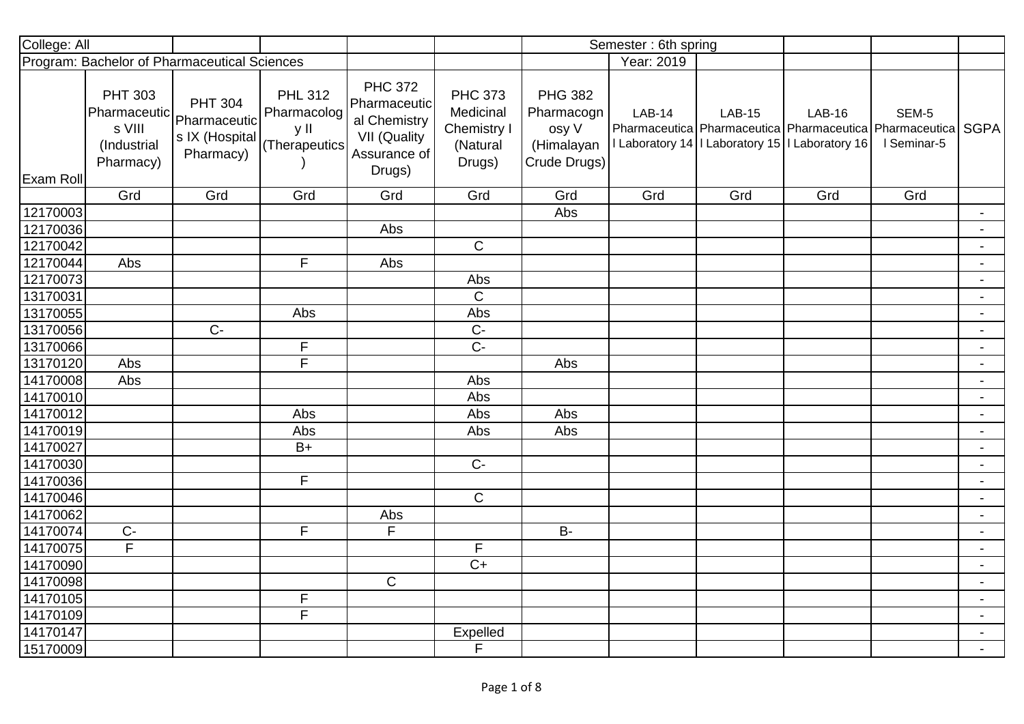| College: All     |                                                      |                                                                              |                                                        |                                                                                          |                                                                  | Semester: 6th spring                                                |               |                                                                  |                                                       |                                       |                |
|------------------|------------------------------------------------------|------------------------------------------------------------------------------|--------------------------------------------------------|------------------------------------------------------------------------------------------|------------------------------------------------------------------|---------------------------------------------------------------------|---------------|------------------------------------------------------------------|-------------------------------------------------------|---------------------------------------|----------------|
|                  | Program: Bachelor of Pharmaceutical Sciences         |                                                                              |                                                        |                                                                                          |                                                                  |                                                                     | Year: 2019    |                                                                  |                                                       |                                       |                |
| <b>Exam Roll</b> | <b>PHT 303</b><br>s VIII<br>(Industrial<br>Pharmacy) | <b>PHT 304</b><br>Pharmaceutic   pharmaceutic<br>s IX (Hospital<br>Pharmacy) | <b>PHL 312</b><br>Pharmacolog<br>y II<br>(Therapeutics | <b>PHC 372</b><br>Pharmaceutic<br>al Chemistry<br>VII (Quality<br>Assurance of<br>Drugs) | <b>PHC 373</b><br>Medicinal<br>Chemistry I<br>(Natural<br>Drugs) | <b>PHG 382</b><br>Pharmacogn<br>osy V<br>(Himalayan<br>Crude Drugs) | <b>LAB-14</b> | <b>LAB-15</b><br>I Laboratory 14   Laboratory 15   Laboratory 16 | $LAB-16$<br>Pharmaceutica Pharmaceutica Pharmaceutica | SEM-5<br>Pharmaceutica<br>I Seminar-5 | <b>SGPA</b>    |
|                  | Grd                                                  | Grd                                                                          | Grd                                                    | Grd                                                                                      | Grd                                                              | Grd                                                                 | Grd           | Grd                                                              | Grd                                                   | Grd                                   |                |
| 12170003         |                                                      |                                                                              |                                                        |                                                                                          |                                                                  | Abs                                                                 |               |                                                                  |                                                       |                                       | $\blacksquare$ |
| 12170036         |                                                      |                                                                              |                                                        | Abs                                                                                      |                                                                  |                                                                     |               |                                                                  |                                                       |                                       | $\sim$         |
| 12170042         |                                                      |                                                                              |                                                        |                                                                                          | $\overline{C}$                                                   |                                                                     |               |                                                                  |                                                       |                                       | $\blacksquare$ |
| 12170044         | Abs                                                  |                                                                              | F                                                      | Abs                                                                                      |                                                                  |                                                                     |               |                                                                  |                                                       |                                       | $\sim$         |
| 12170073         |                                                      |                                                                              |                                                        |                                                                                          | Abs                                                              |                                                                     |               |                                                                  |                                                       |                                       | $\blacksquare$ |
| 13170031         |                                                      |                                                                              |                                                        |                                                                                          | $\mathsf{C}$                                                     |                                                                     |               |                                                                  |                                                       |                                       | $\blacksquare$ |
| 13170055         |                                                      |                                                                              | Abs                                                    |                                                                                          | Abs                                                              |                                                                     |               |                                                                  |                                                       |                                       | $\blacksquare$ |
| 13170056         |                                                      | $\overline{C}$                                                               |                                                        |                                                                                          | $C -$                                                            |                                                                     |               |                                                                  |                                                       |                                       | $\blacksquare$ |
| 13170066         |                                                      |                                                                              | F                                                      |                                                                                          | $\overline{C}$                                                   |                                                                     |               |                                                                  |                                                       |                                       | $\blacksquare$ |
| 13170120         | Abs                                                  |                                                                              | F                                                      |                                                                                          |                                                                  | Abs                                                                 |               |                                                                  |                                                       |                                       | $\sim$         |
| 14170008         | Abs                                                  |                                                                              |                                                        |                                                                                          | Abs                                                              |                                                                     |               |                                                                  |                                                       |                                       | $\sim$         |
| 14170010         |                                                      |                                                                              |                                                        |                                                                                          | Abs                                                              |                                                                     |               |                                                                  |                                                       |                                       | $\sim$         |
| 14170012         |                                                      |                                                                              | Abs                                                    |                                                                                          | Abs                                                              | Abs                                                                 |               |                                                                  |                                                       |                                       | $\blacksquare$ |
| 14170019         |                                                      |                                                                              | Abs                                                    |                                                                                          | Abs                                                              | Abs                                                                 |               |                                                                  |                                                       |                                       | $\blacksquare$ |
| 14170027         |                                                      |                                                                              | $B+$                                                   |                                                                                          |                                                                  |                                                                     |               |                                                                  |                                                       |                                       | $\sim$         |
| 14170030         |                                                      |                                                                              |                                                        |                                                                                          | $\overline{C}$                                                   |                                                                     |               |                                                                  |                                                       |                                       | $\sim$         |
| 14170036         |                                                      |                                                                              | F                                                      |                                                                                          |                                                                  |                                                                     |               |                                                                  |                                                       |                                       | $\blacksquare$ |
| 14170046         |                                                      |                                                                              |                                                        |                                                                                          | $\overline{C}$                                                   |                                                                     |               |                                                                  |                                                       |                                       | $\sim$         |
| 14170062         |                                                      |                                                                              |                                                        | Abs                                                                                      |                                                                  |                                                                     |               |                                                                  |                                                       |                                       | $\sim$         |
| 14170074         | $C -$                                                |                                                                              | F                                                      | F                                                                                        |                                                                  | <b>B-</b>                                                           |               |                                                                  |                                                       |                                       | $\sim$         |
| 14170075         | $\overline{F}$                                       |                                                                              |                                                        |                                                                                          | $\mathsf{F}$                                                     |                                                                     |               |                                                                  |                                                       |                                       | $\sim$         |
| 14170090         |                                                      |                                                                              |                                                        |                                                                                          | $C+$                                                             |                                                                     |               |                                                                  |                                                       |                                       | $\sim$         |
| 14170098         |                                                      |                                                                              |                                                        | $\overline{C}$                                                                           |                                                                  |                                                                     |               |                                                                  |                                                       |                                       | $\sim$         |
| 14170105         |                                                      |                                                                              | F                                                      |                                                                                          |                                                                  |                                                                     |               |                                                                  |                                                       |                                       | $\sim$         |
| 14170109         |                                                      |                                                                              | F                                                      |                                                                                          |                                                                  |                                                                     |               |                                                                  |                                                       |                                       | $\sim$         |
| 14170147         |                                                      |                                                                              |                                                        |                                                                                          | Expelled                                                         |                                                                     |               |                                                                  |                                                       |                                       | $\sim$         |
| 15170009         |                                                      |                                                                              |                                                        |                                                                                          | $\overline{F}$                                                   |                                                                     |               |                                                                  |                                                       |                                       |                |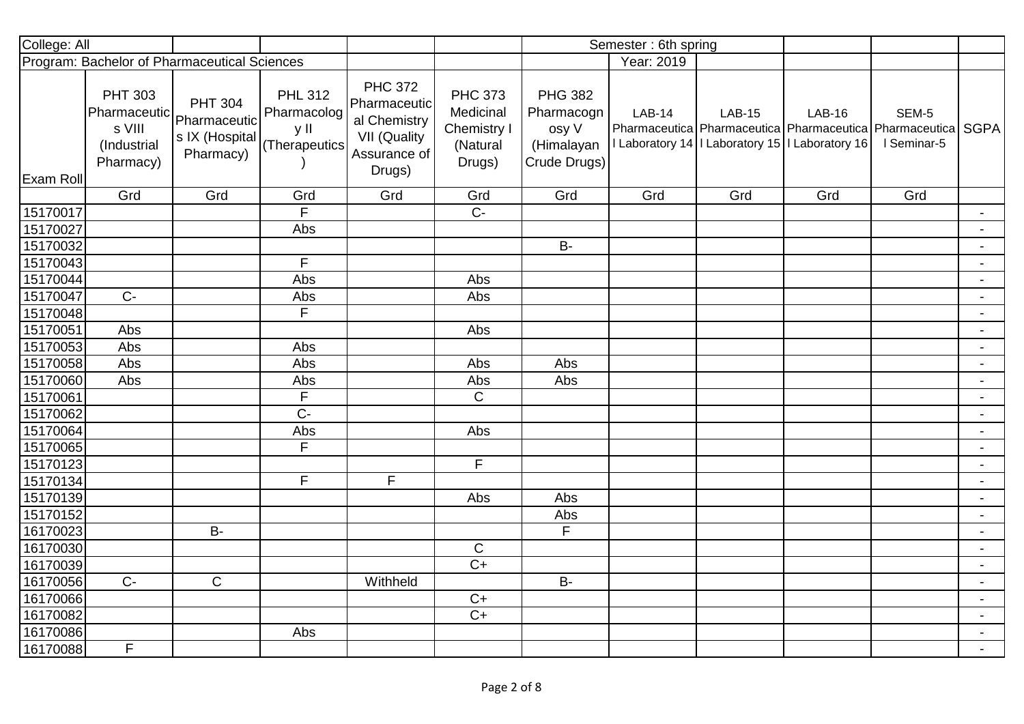| College: All |                                                      |                                                                                |                                                        |                                                                                          |                                                                  | Semester: 6th spring                                                |               |                                                                                                               |          |                                       |                          |
|--------------|------------------------------------------------------|--------------------------------------------------------------------------------|--------------------------------------------------------|------------------------------------------------------------------------------------------|------------------------------------------------------------------|---------------------------------------------------------------------|---------------|---------------------------------------------------------------------------------------------------------------|----------|---------------------------------------|--------------------------|
|              | Program: Bachelor of Pharmaceutical Sciences         |                                                                                |                                                        |                                                                                          |                                                                  |                                                                     | Year: 2019    |                                                                                                               |          |                                       |                          |
| Exam Roll    | <b>PHT 303</b><br>s VIII<br>(Industrial<br>Pharmacy) | <b>PHT 304</b><br>Pharmaceutic   pharmaceutic  <br>s IX (Hospital<br>Pharmacy) | <b>PHL 312</b><br>Pharmacolog<br>y II<br>(Therapeutics | <b>PHC 372</b><br>Pharmaceutic<br>al Chemistry<br>VII (Quality<br>Assurance of<br>Drugs) | <b>PHC 373</b><br>Medicinal<br>Chemistry I<br>(Natural<br>Drugs) | <b>PHG 382</b><br>Pharmacogn<br>osy V<br>(Himalayan<br>Crude Drugs) | <b>LAB-14</b> | <b>LAB-15</b><br>Pharmaceutica Pharmaceutica Pharmaceutica<br>I Laboratory 14   Laboratory 15   Laboratory 16 | $LAB-16$ | SEM-5<br>Pharmaceutica<br>I Seminar-5 | <b>SGPA</b>              |
|              | Grd                                                  | Grd                                                                            | Grd                                                    | Grd                                                                                      | Grd                                                              | Grd                                                                 | Grd           | Grd                                                                                                           | Grd      | Grd                                   |                          |
| 15170017     |                                                      |                                                                                | F                                                      |                                                                                          | $\overline{C}$                                                   |                                                                     |               |                                                                                                               |          |                                       |                          |
| 15170027     |                                                      |                                                                                | Abs                                                    |                                                                                          |                                                                  |                                                                     |               |                                                                                                               |          |                                       | $\blacksquare$           |
| 15170032     |                                                      |                                                                                |                                                        |                                                                                          |                                                                  | <b>B-</b>                                                           |               |                                                                                                               |          |                                       | $\sim$                   |
| 15170043     |                                                      |                                                                                | F                                                      |                                                                                          |                                                                  |                                                                     |               |                                                                                                               |          |                                       | $\blacksquare$           |
| 15170044     |                                                      |                                                                                | Abs                                                    |                                                                                          | Abs                                                              |                                                                     |               |                                                                                                               |          |                                       | $\blacksquare$           |
| 15170047     | $C-$                                                 |                                                                                | Abs                                                    |                                                                                          | Abs                                                              |                                                                     |               |                                                                                                               |          |                                       | $\blacksquare$           |
| 15170048     |                                                      |                                                                                | $\overline{\mathsf{F}}$                                |                                                                                          |                                                                  |                                                                     |               |                                                                                                               |          |                                       | $\blacksquare$           |
| 15170051     | Abs                                                  |                                                                                |                                                        |                                                                                          | Abs                                                              |                                                                     |               |                                                                                                               |          |                                       | $\blacksquare$           |
| 15170053     | Abs                                                  |                                                                                | Abs                                                    |                                                                                          |                                                                  |                                                                     |               |                                                                                                               |          |                                       | $\blacksquare$           |
| 15170058     | Abs                                                  |                                                                                | Abs                                                    |                                                                                          | Abs                                                              | Abs                                                                 |               |                                                                                                               |          |                                       | $\blacksquare$           |
| 15170060     | Abs                                                  |                                                                                | Abs                                                    |                                                                                          | Abs                                                              | Abs                                                                 |               |                                                                                                               |          |                                       | $\blacksquare$           |
| 15170061     |                                                      |                                                                                | F                                                      |                                                                                          | $\mathsf C$                                                      |                                                                     |               |                                                                                                               |          |                                       | $\blacksquare$           |
| 15170062     |                                                      |                                                                                | $\overline{C}$                                         |                                                                                          |                                                                  |                                                                     |               |                                                                                                               |          |                                       | $\blacksquare$           |
| 15170064     |                                                      |                                                                                | Abs                                                    |                                                                                          | Abs                                                              |                                                                     |               |                                                                                                               |          |                                       | $\blacksquare$           |
| 15170065     |                                                      |                                                                                | $\overline{F}$                                         |                                                                                          |                                                                  |                                                                     |               |                                                                                                               |          |                                       | $\blacksquare$           |
| 15170123     |                                                      |                                                                                |                                                        |                                                                                          | F.                                                               |                                                                     |               |                                                                                                               |          |                                       | $\sim$                   |
| 15170134     |                                                      |                                                                                | F                                                      | F                                                                                        |                                                                  |                                                                     |               |                                                                                                               |          |                                       | $\blacksquare$           |
| 15170139     |                                                      |                                                                                |                                                        |                                                                                          | Abs                                                              | Abs                                                                 |               |                                                                                                               |          |                                       | $\blacksquare$           |
| 15170152     |                                                      |                                                                                |                                                        |                                                                                          |                                                                  | Abs                                                                 |               |                                                                                                               |          |                                       | $\blacksquare$           |
| 16170023     |                                                      | <b>B-</b>                                                                      |                                                        |                                                                                          |                                                                  | F                                                                   |               |                                                                                                               |          |                                       | $\sim$                   |
| 16170030     |                                                      |                                                                                |                                                        |                                                                                          | $\overline{C}$                                                   |                                                                     |               |                                                                                                               |          |                                       | $\blacksquare$           |
| 16170039     |                                                      |                                                                                |                                                        |                                                                                          | $C+$                                                             |                                                                     |               |                                                                                                               |          |                                       | $\sim$                   |
| 16170056     | $C -$                                                | $\overline{C}$                                                                 |                                                        | Withheld                                                                                 |                                                                  | <b>B-</b>                                                           |               |                                                                                                               |          |                                       |                          |
| 16170066     |                                                      |                                                                                |                                                        |                                                                                          | $C+$                                                             |                                                                     |               |                                                                                                               |          |                                       | $\overline{\phantom{0}}$ |
| 16170082     |                                                      |                                                                                |                                                        |                                                                                          | $C+$                                                             |                                                                     |               |                                                                                                               |          |                                       | $\overline{\phantom{0}}$ |
| 16170086     |                                                      |                                                                                | Abs                                                    |                                                                                          |                                                                  |                                                                     |               |                                                                                                               |          |                                       | $\sim$                   |
| 16170088     | F                                                    |                                                                                |                                                        |                                                                                          |                                                                  |                                                                     |               |                                                                                                               |          |                                       |                          |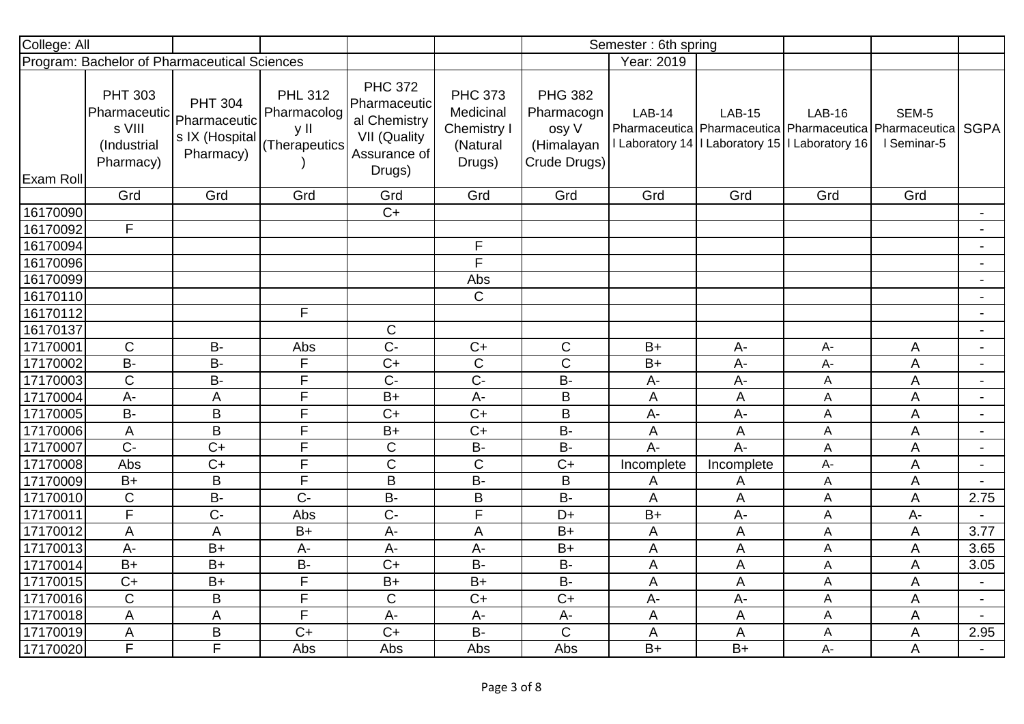| College: All     |                                                                                     |                                               |                                                         |                                                                                          |                                                                  |                                                                     | Semester: 6th spring |               |                                                                                                          |                                            |                |
|------------------|-------------------------------------------------------------------------------------|-----------------------------------------------|---------------------------------------------------------|------------------------------------------------------------------------------------------|------------------------------------------------------------------|---------------------------------------------------------------------|----------------------|---------------|----------------------------------------------------------------------------------------------------------|--------------------------------------------|----------------|
|                  | Program: Bachelor of Pharmaceutical Sciences                                        |                                               |                                                         |                                                                                          |                                                                  |                                                                     | Year: 2019           |               |                                                                                                          |                                            |                |
| <b>Exam Roll</b> | <b>PHT 303</b><br>Pharmaceutic   pharmaceutic<br>s VIII<br>(Industrial<br>Pharmacy) | <b>PHT 304</b><br>s IX (Hospital<br>Pharmacy) | <b>PHL 312</b><br>Pharmacolog<br>y II<br>(Therapeutics) | <b>PHC 372</b><br>Pharmaceutic<br>al Chemistry<br>VII (Quality<br>Assurance of<br>Drugs) | <b>PHC 373</b><br>Medicinal<br>Chemistry I<br>(Natural<br>Drugs) | <b>PHG 382</b><br>Pharmacogn<br>osy V<br>(Himalayan<br>Crude Drugs) | $LAB-14$             | <b>LAB-15</b> | $LAB-16$<br>Pharmaceutica Pharmaceutica Pharmaceutica<br>I Laboratory 14   Laboratory 15   Laboratory 16 | SEM-5<br>Pharmaceutica<br><b>Seminar-5</b> | <b>SGPA</b>    |
|                  | Grd                                                                                 | Grd                                           | Grd                                                     | Grd                                                                                      | Grd                                                              | Grd                                                                 | Grd                  | Grd           | Grd                                                                                                      | Grd                                        |                |
| 16170090         |                                                                                     |                                               |                                                         | $C+$                                                                                     |                                                                  |                                                                     |                      |               |                                                                                                          |                                            |                |
| 16170092         | $\mathsf F$                                                                         |                                               |                                                         |                                                                                          |                                                                  |                                                                     |                      |               |                                                                                                          |                                            | $\sim$         |
| 16170094         |                                                                                     |                                               |                                                         |                                                                                          | F                                                                |                                                                     |                      |               |                                                                                                          |                                            | $\sim$         |
| 16170096         |                                                                                     |                                               |                                                         |                                                                                          | F.                                                               |                                                                     |                      |               |                                                                                                          |                                            | $\sim$         |
| 16170099         |                                                                                     |                                               |                                                         |                                                                                          | Abs                                                              |                                                                     |                      |               |                                                                                                          |                                            | $\blacksquare$ |
| 16170110         |                                                                                     |                                               |                                                         |                                                                                          | $\mathsf{C}$                                                     |                                                                     |                      |               |                                                                                                          |                                            | $\sim$         |
| 16170112         |                                                                                     |                                               | F                                                       |                                                                                          |                                                                  |                                                                     |                      |               |                                                                                                          |                                            | $\sim$         |
| 16170137         |                                                                                     |                                               |                                                         | $\mathsf C$                                                                              |                                                                  |                                                                     |                      |               |                                                                                                          |                                            | $\blacksquare$ |
| 17170001         | $\mathsf{C}$                                                                        | <b>B-</b>                                     | Abs                                                     | $\overline{C}$                                                                           | $C+$                                                             | $\mathsf{C}$                                                        | $B+$                 | $A -$         | A-                                                                                                       | A                                          | $\blacksquare$ |
| 17170002         | <b>B-</b>                                                                           | <b>B-</b>                                     | F                                                       | $C+$                                                                                     | $\mathsf C$                                                      | $\overline{C}$                                                      | $B+$                 | $A -$         | A-                                                                                                       | A                                          | $\blacksquare$ |
| 17170003         | $\mathsf C$                                                                         | <b>B-</b>                                     | F                                                       | $C -$                                                                                    | $C -$                                                            | <b>B-</b>                                                           | $A-$                 | $A -$         | A                                                                                                        | $\boldsymbol{\mathsf{A}}$                  | $\blacksquare$ |
| 17170004         | $A-$                                                                                | A                                             | F                                                       | $B+$                                                                                     | $A-$                                                             | $\sf B$                                                             | A                    | A             | A                                                                                                        | A                                          | $\sim$         |
| 17170005         | <b>B-</b>                                                                           | B                                             | $\overline{F}$                                          | $C+$                                                                                     | $C+$                                                             | $\sf B$                                                             | $A-$                 | $A -$         | Α                                                                                                        | A                                          | $\blacksquare$ |
| 17170006         | A                                                                                   | B                                             | F                                                       | $B+$                                                                                     | $C+$                                                             | <b>B-</b>                                                           | A                    | A             | A                                                                                                        | $\overline{A}$                             | $\sim$         |
| 17170007         | $\overline{C}$                                                                      | $C+$                                          | F                                                       | $\mathsf C$                                                                              | <b>B-</b>                                                        | <b>B-</b>                                                           | $A -$                | $A -$         | A                                                                                                        | A                                          | $\blacksquare$ |
| 17170008         | Abs                                                                                 | $C+$                                          | F                                                       | $\overline{C}$                                                                           | $\mathsf C$                                                      | $\overline{C+}$                                                     | Incomplete           | Incomplete    | $A-$                                                                                                     | A                                          | $\blacksquare$ |
| 17170009         | $B+$                                                                                | B                                             | F                                                       | $\mathsf B$                                                                              | <b>B-</b>                                                        | B                                                                   | A                    | A             | A                                                                                                        | A                                          | $\sim$         |
| 17170010         | $\mathsf C$                                                                         | <b>B-</b>                                     | $C -$                                                   | $B -$                                                                                    | $\sf B$                                                          | <b>B-</b>                                                           | A                    | A             | A                                                                                                        | $\boldsymbol{\mathsf{A}}$                  | 2.75           |
| 17170011         | $\overline{\mathsf{F}}$                                                             | $\overline{C}$                                | Abs                                                     | $\overline{C}$ -                                                                         | $\overline{\mathsf{F}}$                                          | $\overline{D+}$                                                     | $B+$                 | $A-$          | A                                                                                                        | $A-$                                       |                |
| 17170012         | $\overline{A}$                                                                      | A                                             | $B+$                                                    | $A -$                                                                                    | $\mathsf{A}$                                                     | $B+$                                                                | A                    | $\mathsf A$   | A                                                                                                        | A                                          | 3.77           |
| 17170013         | $A-$                                                                                | $B+$                                          | $A-$                                                    | $A-$                                                                                     | $A-$                                                             | $B+$                                                                | A                    | A             | A                                                                                                        | A                                          | 3.65           |
| 17170014         | $B+$                                                                                | $B+$                                          | $B -$                                                   | $C+$                                                                                     | $B -$                                                            | $B -$                                                               | A                    | A             | A                                                                                                        | A                                          | 3.05           |
| 17170015         | $C+$                                                                                | $B+$                                          | F                                                       | $B+$                                                                                     | $B+$                                                             | $B -$                                                               | A                    | A             | A                                                                                                        | $\mathsf{A}$                               | $\blacksquare$ |
| 17170016         | $\mathsf C$                                                                         | B                                             | F                                                       | $\mathsf{C}$                                                                             | $C+$                                                             | $C+$                                                                | $A-$                 | $A-$          | A                                                                                                        | A                                          | $\blacksquare$ |
| 17170018         | $\boldsymbol{\mathsf{A}}$                                                           | A                                             | F                                                       | $A -$                                                                                    | $A-$                                                             | $A-$                                                                | A                    | A             | A                                                                                                        | A                                          | $\sim$         |
| 17170019         | A                                                                                   | B                                             | $C+$                                                    | $C+$                                                                                     | $B -$                                                            | $\mathsf C$                                                         | A                    | A             | A                                                                                                        | $\mathsf{A}$                               | 2.95           |
| 17170020         | $\mathsf F$                                                                         | F                                             | Abs                                                     | Abs                                                                                      | Abs                                                              | Abs                                                                 | B+                   | $B+$          | A-                                                                                                       | A                                          |                |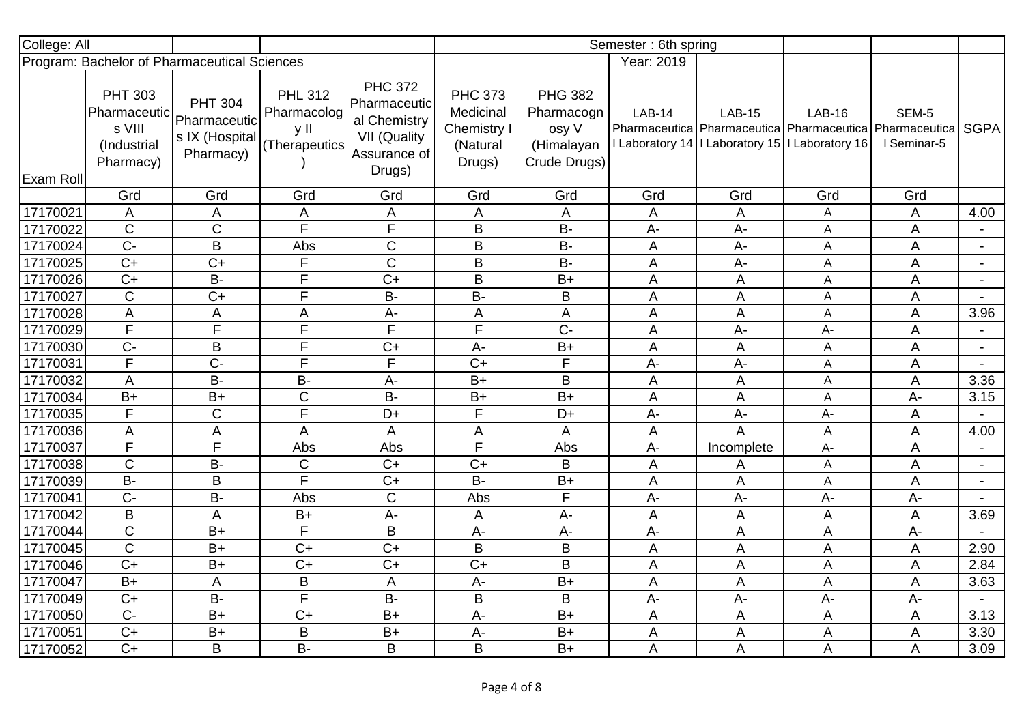| College: All     |                                                                                     |                                               |                                                        |                                                                                          |                                                                  |                                                                     | Semester: 6th spring |                                                                                                                                   |             |                           |                          |
|------------------|-------------------------------------------------------------------------------------|-----------------------------------------------|--------------------------------------------------------|------------------------------------------------------------------------------------------|------------------------------------------------------------------|---------------------------------------------------------------------|----------------------|-----------------------------------------------------------------------------------------------------------------------------------|-------------|---------------------------|--------------------------|
|                  | Program: Bachelor of Pharmaceutical Sciences                                        |                                               |                                                        |                                                                                          |                                                                  |                                                                     | Year: 2019           |                                                                                                                                   |             |                           |                          |
| <b>Exam Roll</b> | <b>PHT 303</b><br>Pharmaceutic   pharmaceutic<br>s VIII<br>(Industrial<br>Pharmacy) | <b>PHT 304</b><br>s IX (Hospital<br>Pharmacy) | <b>PHL 312</b><br>Pharmacolog<br>y II<br>(Therapeutics | <b>PHC 372</b><br>Pharmaceutic<br>al Chemistry<br>VII (Quality<br>Assurance of<br>Drugs) | <b>PHC 373</b><br>Medicinal<br>Chemistry I<br>(Natural<br>Drugs) | <b>PHG 382</b><br>Pharmacogn<br>osy V<br>(Himalayan<br>Crude Drugs) | <b>LAB-14</b>        | <b>LAB-15</b><br>Pharmaceutica   Pharmaceutica   Pharmaceutica   Pharmaceutica<br>I Laboratory 14   Laboratory 15   Laboratory 16 | $LAB-16$    | SEM-5<br>I Seminar-5      | <b>SGPA</b>              |
|                  | Grd                                                                                 | Grd                                           | Grd                                                    | Grd                                                                                      | Grd                                                              | Grd                                                                 | Grd                  | Grd                                                                                                                               | Grd         | Grd                       |                          |
| 17170021         | A                                                                                   | A                                             | A                                                      | A                                                                                        | A                                                                | A                                                                   | A                    | A                                                                                                                                 | A           | A                         | 4.00                     |
| 17170022         | $\mathsf C$                                                                         | $\overline{\text{C}}$                         | F                                                      | $\overline{F}$                                                                           | B                                                                | <b>B-</b>                                                           | $A -$                | $A -$                                                                                                                             | A           | A                         |                          |
| 17170024         | $\overline{C}$                                                                      | $\sf B$                                       | Abs                                                    | $\mathsf{C}$                                                                             | B                                                                | <b>B-</b>                                                           | A                    | $A-$                                                                                                                              | A           | A                         | $\blacksquare$           |
| 17170025         | $\overline{C+}$                                                                     | $\overline{C}$                                | F                                                      | $\overline{C}$                                                                           | B                                                                | $\overline{B}$                                                      | $\overline{A}$       | $A -$                                                                                                                             | A           | A                         | $\overline{\phantom{a}}$ |
| 17170026         | $C+$                                                                                | <b>B-</b>                                     | F                                                      | $C+$                                                                                     | B                                                                | $B+$                                                                | $\mathsf A$          | A                                                                                                                                 | A           | $\mathsf A$               | $\overline{\phantom{a}}$ |
| 17170027         | $\mathsf C$                                                                         | $C+$                                          | F                                                      | <b>B-</b>                                                                                | <b>B-</b>                                                        | $\sf B$                                                             | $\mathsf A$          | A                                                                                                                                 | A           | $\boldsymbol{\mathsf{A}}$ | $\blacksquare$           |
| 17170028         | A                                                                                   | A                                             | Α                                                      | $A-$                                                                                     | Α                                                                | $\mathsf A$                                                         | $\mathsf A$          | A                                                                                                                                 | Α           | A                         | 3.96                     |
| 17170029         | $\overline{F}$                                                                      | F                                             | $\overline{F}$                                         | $\overline{F}$                                                                           | F                                                                | $\overline{C}$                                                      | A                    | $A -$                                                                                                                             | A-          | A                         |                          |
| 17170030         | $C -$                                                                               | B                                             | F                                                      | $C+$                                                                                     | $A -$                                                            | $B+$                                                                | A                    | A                                                                                                                                 | A           | A                         | $\overline{\phantom{a}}$ |
| 17170031         | $\overline{F}$                                                                      | $\overline{C}$                                | F                                                      | $\overline{F}$                                                                           | $C+$                                                             | $\overline{\mathsf{F}}$                                             | $A-$                 | $A-$                                                                                                                              | A           | A                         | $\blacksquare$           |
| 17170032         | A                                                                                   | <b>B-</b>                                     | <b>B-</b>                                              | $A-$                                                                                     | $B+$                                                             | B                                                                   | A                    | A                                                                                                                                 | A           | A                         | 3.36                     |
| 17170034         | $B+$                                                                                | $B+$                                          | $\mathsf C$                                            | <b>B-</b>                                                                                | $B+$                                                             | $B+$                                                                | A                    | A                                                                                                                                 | A           | $A-$                      | 3.15                     |
| 17170035         | $\overline{F}$                                                                      | $\mathsf C$                                   | F                                                      | $D+$                                                                                     | F                                                                | D+                                                                  | $A-$                 | A-                                                                                                                                | A-          | Α                         |                          |
| 17170036         | A                                                                                   | A                                             | A                                                      | A                                                                                        | A                                                                | A                                                                   | A                    | A                                                                                                                                 | A           | A                         | 4.00                     |
| 17170037         | $\mathsf F$                                                                         | F                                             | Abs                                                    | Abs                                                                                      | F                                                                | Abs                                                                 | $A-$                 | Incomplete                                                                                                                        | A-          | A                         | $\blacksquare$           |
| 17170038         | $\mathsf C$                                                                         | <b>B-</b>                                     | $\mathsf C$                                            | $C+$                                                                                     | $C+$                                                             | B                                                                   | A                    | A                                                                                                                                 | A           | A                         | $\blacksquare$           |
| 17170039         | <b>B-</b>                                                                           | B                                             | F                                                      | $C+$                                                                                     | $B -$                                                            | $B+$                                                                | A                    | A                                                                                                                                 | A           | A                         | $\overline{\phantom{a}}$ |
| 17170041         | $C -$                                                                               | <b>B-</b>                                     | Abs                                                    | $\mathsf C$                                                                              | Abs                                                              | F                                                                   | $A-$                 | $A-$                                                                                                                              | A-          | $A-$                      | $\blacksquare$           |
| 17170042         | $\overline{B}$                                                                      | A                                             | $B+$                                                   | $A -$                                                                                    | A                                                                | $A-$                                                                | $\mathsf A$          | A                                                                                                                                 | A           | A                         | 3.69                     |
| 17170044         | $\overline{\text{C}}$                                                               | $B+$                                          | F                                                      | B                                                                                        | $A-$                                                             | A-                                                                  | $A -$                | A                                                                                                                                 | $\mathsf A$ | $A -$                     |                          |
| 17170045         | $\overline{\text{C}}$                                                               | $B+$                                          | $C+$                                                   | $C+$                                                                                     | B                                                                | B                                                                   | A                    | A                                                                                                                                 | A           | A                         | 2.90                     |
| 17170046         | $\overline{C+}$                                                                     | $B+$                                          | $C+$                                                   | $C+$                                                                                     | $C+$                                                             | B                                                                   | A                    | A                                                                                                                                 | A           | A                         | 2.84                     |
| 17170047         | $B+$                                                                                | A                                             | B                                                      | A                                                                                        | $A -$                                                            | $B+$                                                                | A                    | A                                                                                                                                 | $\mathsf A$ | A                         | 3.63                     |
| 17170049         | $C+$                                                                                | <b>B-</b>                                     | $\overline{\mathsf{F}}$                                | <b>B-</b>                                                                                | B                                                                | B                                                                   | $A-$                 | $A -$                                                                                                                             | $A -$       | $A-$                      |                          |
| 17170050         | $C-$                                                                                | $B+$                                          | $C+$                                                   | $B+$                                                                                     | $A-$                                                             | $B+$                                                                | A                    | A                                                                                                                                 | A           | Α                         | 3.13                     |
| 17170051         | $C+$                                                                                | $B+$                                          | B                                                      | $B+$                                                                                     | $A -$                                                            | $B+$                                                                | A                    | A                                                                                                                                 | A           | A                         | 3.30                     |
| 17170052         | $C+$                                                                                | B                                             | <b>B-</b>                                              | $\sf B$                                                                                  | B                                                                | $B+$                                                                | A                    | A                                                                                                                                 | A           | A                         | 3.09                     |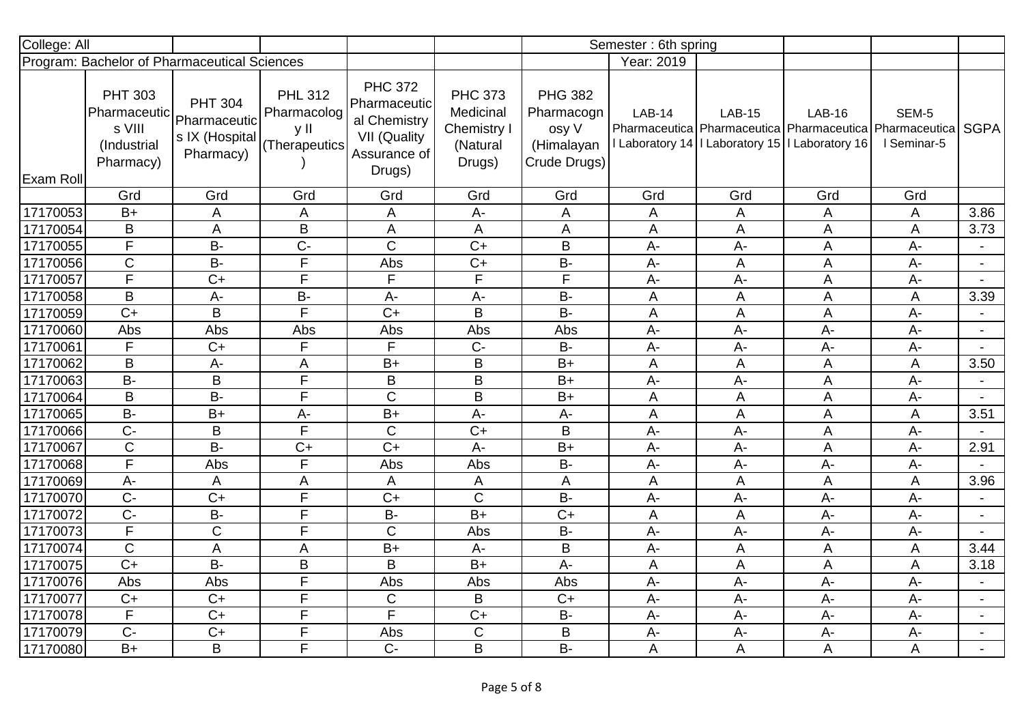| College: All     |                                                      |                                                                                         |                                                        |                                                                                          |                                                                  |                                                                     | Semester: 6th spring |               |                                                                                                          |                                            |                |
|------------------|------------------------------------------------------|-----------------------------------------------------------------------------------------|--------------------------------------------------------|------------------------------------------------------------------------------------------|------------------------------------------------------------------|---------------------------------------------------------------------|----------------------|---------------|----------------------------------------------------------------------------------------------------------|--------------------------------------------|----------------|
|                  |                                                      | Program: Bachelor of Pharmaceutical Sciences                                            |                                                        |                                                                                          |                                                                  |                                                                     | Year: 2019           |               |                                                                                                          |                                            |                |
| <b>Exam Roll</b> | <b>PHT 303</b><br>s VIII<br>(Industrial<br>Pharmacy) | <b>PHT 304</b><br>Pharmaceutic Pharmaceutic <sup>!</sup><br>s IX (Hospital<br>Pharmacy) | <b>PHL 312</b><br>Pharmacolog<br>y II<br>(Therapeutics | <b>PHC 372</b><br>Pharmaceutic<br>al Chemistry<br>VII (Quality<br>Assurance of<br>Drugs) | <b>PHC 373</b><br>Medicinal<br>Chemistry I<br>(Natural<br>Drugs) | <b>PHG 382</b><br>Pharmacogn<br>osy V<br>(Himalayan<br>Crude Drugs) | $LAB-14$             | <b>LAB-15</b> | $LAB-16$<br>Pharmaceutica Pharmaceutica Pharmaceutica<br>I Laboratory 14   Laboratory 15   Laboratory 16 | SEM-5<br>Pharmaceutica<br><b>Seminar-5</b> | <b>SGPA</b>    |
|                  | Grd                                                  | Grd                                                                                     | Grd                                                    | Grd                                                                                      | Grd                                                              | Grd                                                                 | Grd                  | Grd           | Grd                                                                                                      | Grd                                        |                |
| 17170053         | $B+$                                                 | A                                                                                       | A                                                      | A                                                                                        | $A -$                                                            | A                                                                   | A                    | A             | A                                                                                                        | A                                          | 3.86           |
| 17170054         | B                                                    | A                                                                                       | B                                                      | A                                                                                        | $\mathsf{A}$                                                     | A                                                                   | $\mathsf A$          | A             | A                                                                                                        | $\mathsf{A}$                               | 3.73           |
| 17170055         | $\overline{\mathsf{F}}$                              | <b>B-</b>                                                                               | $\overline{C}$                                         | $\overline{C}$                                                                           | $\overline{C}$                                                   | $\sf B$                                                             | $A-$                 | $A -$         | A                                                                                                        | $A -$                                      |                |
| 17170056         | $\overline{\text{C}}$                                | <b>B-</b>                                                                               | $\overline{F}$                                         | Abs                                                                                      | $C+$                                                             | <b>B-</b>                                                           | $A-$                 | A             | A                                                                                                        | $A-$                                       | $\blacksquare$ |
| 17170057         | $\mathsf F$                                          | $C+$                                                                                    | F                                                      | F                                                                                        | F                                                                | $\mathsf{F}$                                                        | $A-$                 | $A -$         | A                                                                                                        | $A-$                                       | $\sim$         |
| 17170058         | B                                                    | $A-$                                                                                    | $B -$                                                  | $A-$                                                                                     | $A-$                                                             | <b>B-</b>                                                           | A                    | A             | A                                                                                                        | A                                          | 3.39           |
| 17170059         | $\overline{C}$                                       | B                                                                                       | F                                                      | $C+$                                                                                     | B                                                                | $B -$                                                               | A                    | A             | A                                                                                                        | $A -$                                      |                |
| 17170060         | Abs                                                  | Abs                                                                                     | Abs                                                    | Abs                                                                                      | Abs                                                              | Abs                                                                 | $A-$                 | $A -$         | $A-$                                                                                                     | $A-$                                       | $\blacksquare$ |
| 17170061         | $\overline{F}$                                       | $C+$                                                                                    | F                                                      | F                                                                                        | $C -$                                                            | $B -$                                                               | $A-$                 | $A-$          | $A-$                                                                                                     | $A-$                                       | $\sim$         |
| 17170062         | B                                                    | $A-$                                                                                    | А                                                      | $B+$                                                                                     | B                                                                | $B+$                                                                | A                    | A             | A                                                                                                        | A                                          | 3.50           |
| 17170063         | <b>B-</b>                                            | B                                                                                       | $\overline{F}$                                         | B                                                                                        | B                                                                | $B+$                                                                | A-                   | $A -$         | Α                                                                                                        | $A-$                                       |                |
| 17170064         | B                                                    | <b>B-</b>                                                                               | F                                                      | $\mathsf C$                                                                              | B                                                                | $B+$                                                                | А                    | Α             | А                                                                                                        | $A-$                                       | $\sim$         |
| 17170065         | <b>B-</b>                                            | $B+$                                                                                    | $A-$                                                   | $B+$                                                                                     | $A -$                                                            | A-                                                                  | $\mathsf A$          | A             | A                                                                                                        | A                                          | 3.51           |
| 17170066         | $\overline{C}$                                       | B                                                                                       | $\overline{\mathsf{F}}$                                | $\overline{C}$                                                                           | $C+$                                                             | $\overline{B}$                                                      | $A-$                 | $A -$         | A                                                                                                        | $A-$                                       |                |
| 17170067         | $\overline{C}$                                       | $B -$                                                                                   | $C+$                                                   | $\overline{C}$                                                                           | $A -$                                                            | $\overline{B+}$                                                     | $A-$                 | $A-$          | A                                                                                                        | $A-$                                       | 2.91           |
| 17170068         | $\overline{\mathsf{F}}$                              | Abs                                                                                     | $\overline{F}$                                         | Abs                                                                                      | Abs                                                              | <b>B-</b>                                                           | $A-$                 | $A-$          | $A-$                                                                                                     | $A-$                                       |                |
| 17170069         | $A -$                                                | A                                                                                       | A                                                      | A                                                                                        | $\overline{\mathsf{A}}$                                          | $\mathsf A$                                                         | $\mathsf A$          | A             | A                                                                                                        | $\boldsymbol{\mathsf{A}}$                  | 3.96           |
| 17170070         | $C -$                                                | $C+$                                                                                    | F                                                      | $C+$                                                                                     | $\mathsf{C}$                                                     | $B -$                                                               | A-                   | $A -$         | $A -$                                                                                                    | $A -$                                      |                |
| 17170072         | $\overline{C}$                                       | <b>B-</b>                                                                               | F                                                      | <b>B-</b>                                                                                | $B+$                                                             | $C+$                                                                | A                    | A             | $A -$                                                                                                    | $A-$                                       | $\blacksquare$ |
| 17170073         | $\overline{F}$                                       | $\mathsf C$                                                                             | F                                                      | $\mathsf{C}$                                                                             | Abs                                                              | $B -$                                                               | $A -$                | $A-$          | $A-$                                                                                                     | $A-$                                       | $\blacksquare$ |
| 17170074         | $\mathsf C$                                          | A                                                                                       | A                                                      | $B+$                                                                                     | $A -$                                                            | B                                                                   | $A -$                | A             | A                                                                                                        | A                                          | 3.44           |
| 17170075         | $C+$                                                 | <b>B-</b>                                                                               | B                                                      | B                                                                                        | $B+$                                                             | A-                                                                  | A                    | A             | A                                                                                                        | A                                          | 3.18           |
| 17170076         | Abs                                                  | Abs                                                                                     | F                                                      | Abs                                                                                      | Abs                                                              | Abs                                                                 | $A -$                | $A -$         | $A -$                                                                                                    | $A -$                                      |                |
| 17170077         | $C+$                                                 | $C+$                                                                                    | F                                                      | $\mathsf{C}$                                                                             | B                                                                | $C+$                                                                | $A -$                | $A -$         | $A-$                                                                                                     | $A -$                                      | $\blacksquare$ |
| 17170078         | $\overline{F}$                                       | $\overline{C}$                                                                          | F                                                      | $\overline{\mathsf{F}}$                                                                  | $\overline{C+}$                                                  | <b>B-</b>                                                           | A-                   | $A -$         | $A-$                                                                                                     | $A-$                                       | $\sim$         |
| 17170079         | $\overline{C}$                                       | $C+$                                                                                    | F                                                      | Abs                                                                                      | $\mathsf C$                                                      | B                                                                   | $A-$                 | $A -$         | $A -$                                                                                                    | $A-$                                       | $\sim$         |
| 17170080         | $B+$                                                 | B                                                                                       | F                                                      | $C -$                                                                                    | B                                                                | <b>B-</b>                                                           | A                    | A             | A                                                                                                        | A                                          | $\sim$         |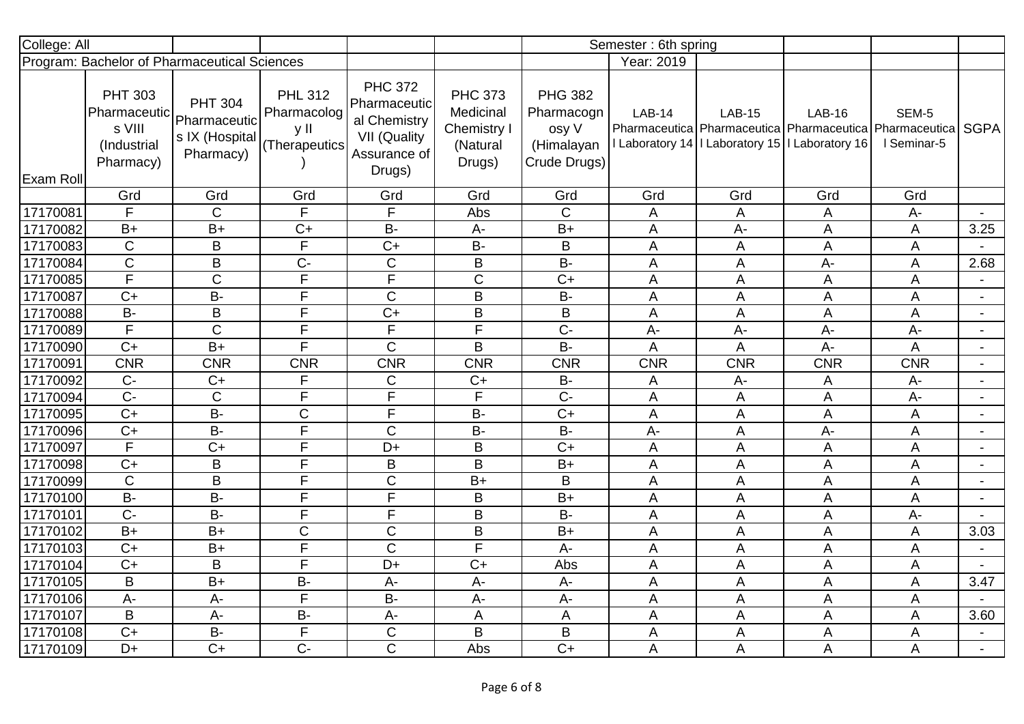| College: All     |                                                      |                                                                                         |                                                         |                                                                                          |                                                                  |                                                                     | Semester: 6th spring |               |                                                                                                          |                                       |                |
|------------------|------------------------------------------------------|-----------------------------------------------------------------------------------------|---------------------------------------------------------|------------------------------------------------------------------------------------------|------------------------------------------------------------------|---------------------------------------------------------------------|----------------------|---------------|----------------------------------------------------------------------------------------------------------|---------------------------------------|----------------|
|                  |                                                      | Program: Bachelor of Pharmaceutical Sciences                                            |                                                         |                                                                                          |                                                                  |                                                                     | Year: 2019           |               |                                                                                                          |                                       |                |
| <b>Exam Roll</b> | <b>PHT 303</b><br>s VIII<br>(Industrial<br>Pharmacy) | <b>PHT 304</b><br>Pharmaceutic Pharmaceutic <sup>!</sup><br>s IX (Hospital<br>Pharmacy) | <b>PHL 312</b><br>Pharmacolog<br>y II<br>(Therapeutics) | <b>PHC 372</b><br>Pharmaceutic<br>al Chemistry<br>VII (Quality<br>Assurance of<br>Drugs) | <b>PHC 373</b><br>Medicinal<br>Chemistry I<br>(Natural<br>Drugs) | <b>PHG 382</b><br>Pharmacogn<br>osy V<br>(Himalayan<br>Crude Drugs) | $LAB-14$             | <b>LAB-15</b> | $LAB-16$<br>Pharmaceutica Pharmaceutica Pharmaceutica<br>I Laboratory 14   Laboratory 15   Laboratory 16 | SEM-5<br>Pharmaceutica<br>I Seminar-5 | <b>SGPA</b>    |
|                  | Grd                                                  | Grd                                                                                     | Grd                                                     | Grd                                                                                      | Grd                                                              | Grd                                                                 | Grd                  | Grd           | Grd                                                                                                      | Grd                                   |                |
| 17170081         | $\mathsf{F}$                                         | $\mathsf{C}$                                                                            | F                                                       | F                                                                                        | Abs                                                              | $\mathsf{C}$                                                        | A                    | A             | A                                                                                                        | $A -$                                 |                |
| 17170082         | $B+$                                                 | $B+$                                                                                    | $C+$                                                    | <b>B-</b>                                                                                | $A-$                                                             | $B+$                                                                | A                    | $A -$         | A                                                                                                        | A                                     | 3.25           |
| 17170083         | $\mathsf C$                                          | B                                                                                       | F                                                       | $C+$                                                                                     | <b>B-</b>                                                        | B                                                                   | A                    | A             | A                                                                                                        | $\mathsf{A}$                          |                |
| 17170084         | $\overline{C}$                                       | $\sf B$                                                                                 | $\overline{C}$                                          | $\mathsf C$                                                                              | B                                                                | $B -$                                                               | A                    | A             | $A -$                                                                                                    | $\mathsf{A}$                          | 2.68           |
| 17170085         | $\mathsf F$                                          | $\mathsf C$                                                                             | F                                                       | $\mathsf F$                                                                              | $\mathsf C$                                                      | $C+$                                                                | $\mathsf A$          | A             | A                                                                                                        | $\overline{A}$                        | $\blacksquare$ |
| 17170087         | $C+$                                                 | <b>B-</b>                                                                               | $\overline{F}$                                          | $\mathsf C$                                                                              | $\sf B$                                                          | <b>B-</b>                                                           | A                    | A             | A                                                                                                        | A                                     | $\blacksquare$ |
| 17170088         | <b>B-</b>                                            | B                                                                                       | $\overline{F}$                                          | $C+$                                                                                     | B                                                                | B                                                                   | A                    | A             | A                                                                                                        | A                                     | $\blacksquare$ |
| 17170089         | $\overline{\mathsf{F}}$                              | $\overline{\text{C}}$                                                                   | $\overline{F}$                                          | $\overline{\mathsf{F}}$                                                                  | F                                                                | $\overline{C}$                                                      | $A-$                 | $A -$         | $A-$                                                                                                     | $A-$                                  | $\sim$         |
| 17170090         | $C+$                                                 | $B+$                                                                                    | F                                                       | $\overline{C}$                                                                           | B                                                                | <b>B-</b>                                                           | A                    | A             | A-                                                                                                       | A                                     | $\blacksquare$ |
| 17170091         | <b>CNR</b>                                           | <b>CNR</b>                                                                              | <b>CNR</b>                                              | <b>CNR</b>                                                                               | <b>CNR</b>                                                       | <b>CNR</b>                                                          | <b>CNR</b>           | <b>CNR</b>    | <b>CNR</b>                                                                                               | <b>CNR</b>                            | $\blacksquare$ |
| 17170092         | $C -$                                                | $C+$                                                                                    | F                                                       | C                                                                                        | $C+$                                                             | <b>B-</b>                                                           | Α                    | $A -$         | A                                                                                                        | $A-$                                  | $\blacksquare$ |
| 17170094         | $C -$                                                | $\mathsf C$                                                                             | F                                                       | F                                                                                        | F.                                                               | $C -$                                                               | А                    | Α             | А                                                                                                        | $A-$                                  | $\blacksquare$ |
| 17170095         | $C+$                                                 | <b>B-</b>                                                                               | $\mathsf C$                                             | $\overline{F}$                                                                           | <b>B-</b>                                                        | $C+$                                                                | A                    | A             | A                                                                                                        | A                                     | $\sim$         |
| 17170096         | $\overline{C+}$                                      | $B -$                                                                                   | $\overline{\mathsf{F}}$                                 | $\overline{C}$                                                                           | <b>B-</b>                                                        | $B -$                                                               | $A-$                 | Α             | $A-$                                                                                                     | A                                     | $\blacksquare$ |
| 17170097         | $\overline{\mathsf{F}}$                              | $C+$                                                                                    | F                                                       | $D+$                                                                                     | B                                                                | $\overline{C+}$                                                     | $\mathsf A$          | A             | $\overline{A}$                                                                                           | $\boldsymbol{\mathsf{A}}$             | $\blacksquare$ |
| 17170098         | $C+$                                                 | B                                                                                       | F                                                       | $\sf B$                                                                                  | B                                                                | $B+$                                                                | A                    | A             | A                                                                                                        | A                                     | $\sim$         |
| 17170099         | $\mathsf C$                                          | $\overline{B}$                                                                          | F                                                       | $\mathsf C$                                                                              | $B+$                                                             | B                                                                   | A                    | A             | A                                                                                                        | $\boldsymbol{\mathsf{A}}$             | $\blacksquare$ |
| 17170100         | $B -$                                                | <b>B-</b>                                                                               | F                                                       | $\overline{\mathsf{F}}$                                                                  | B                                                                | $B+$                                                                | A                    | A             | A                                                                                                        | $\mathsf{A}$                          | $\sim$         |
| 17170101         | $\overline{C}$                                       | <b>B-</b>                                                                               | F                                                       | F                                                                                        | B                                                                | $B -$                                                               | A                    | A             | A                                                                                                        | $A-$                                  | $\sim$         |
| 17170102         | $B+$                                                 | $B+$                                                                                    | $\mathsf{C}$                                            | $\mathsf{C}$                                                                             | B                                                                | $B+$                                                                | A                    | А             | Α                                                                                                        | A                                     | 3.03           |
| 17170103         | $C+$                                                 | $B+$                                                                                    | F                                                       | $\mathsf{C}$                                                                             | F.                                                               | A-                                                                  | A                    | A             | A                                                                                                        | $\mathsf{A}$                          |                |
| 17170104         | $C+$                                                 | B                                                                                       | F                                                       | $D+$                                                                                     | $C+$                                                             | Abs                                                                 | A                    | A             | A                                                                                                        | A                                     | $\sim$         |
| 17170105         | B                                                    | $B+$                                                                                    | $B-$                                                    | $A-$                                                                                     | $A -$                                                            | A-                                                                  | A                    | A             | A                                                                                                        | $\mathsf A$                           | 3.47           |
| 17170106         | A-                                                   | A-                                                                                      | F                                                       | <b>B-</b>                                                                                | $A-$                                                             | A-                                                                  | A                    | A             | A                                                                                                        | A                                     |                |
| 17170107         | B                                                    | A-                                                                                      | $\overline{B}$                                          | $A -$                                                                                    | A                                                                | A                                                                   | A                    | A             | A                                                                                                        | A                                     | 3.60           |
| 17170108         | $C+$                                                 | <b>B-</b>                                                                               | F                                                       | $\mathsf C$                                                                              | B                                                                | B                                                                   | A                    | A             | A                                                                                                        | A                                     | $\omega$       |
| 17170109         | $D+$                                                 | $C+$                                                                                    | $\overline{C}$                                          | $\mathsf{C}$                                                                             | Abs                                                              | $C+$                                                                | A                    | A             | A                                                                                                        | A                                     | $\sim$         |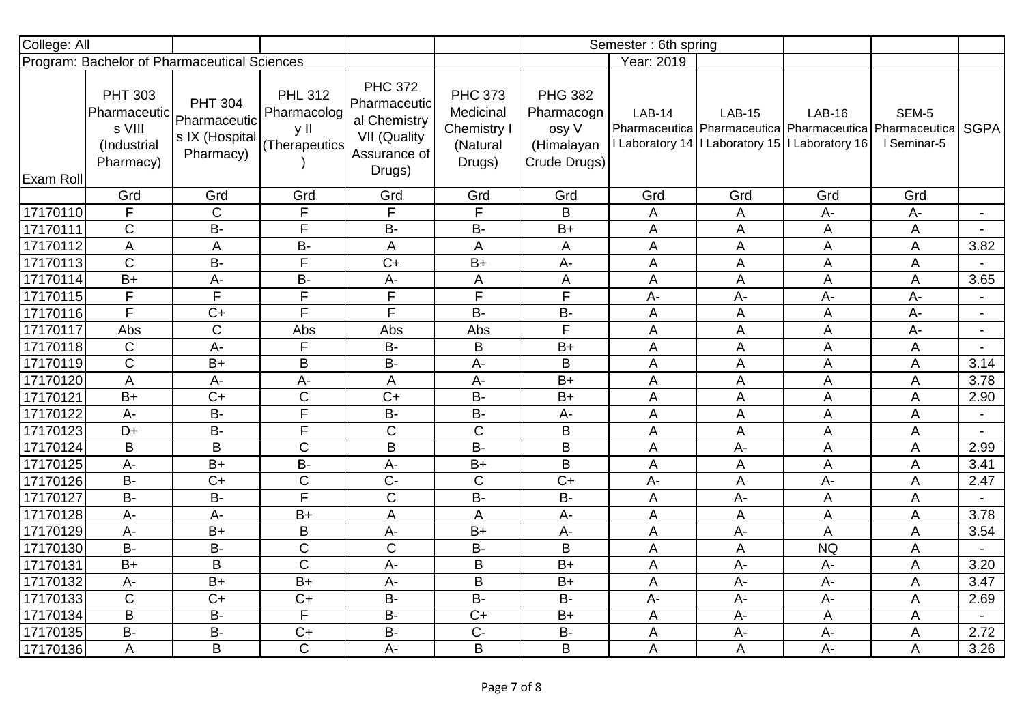| College: All |                                                      |                                                                                |                                                        |                                                                                          |                                                                  |                                                                     | Semester: 6th spring |                |                                                                                                              |                                            |                          |
|--------------|------------------------------------------------------|--------------------------------------------------------------------------------|--------------------------------------------------------|------------------------------------------------------------------------------------------|------------------------------------------------------------------|---------------------------------------------------------------------|----------------------|----------------|--------------------------------------------------------------------------------------------------------------|--------------------------------------------|--------------------------|
|              | Program: Bachelor of Pharmaceutical Sciences         |                                                                                |                                                        |                                                                                          |                                                                  |                                                                     | Year: 2019           |                |                                                                                                              |                                            |                          |
| Exam Roll    | <b>PHT 303</b><br>s VIII<br>(Industrial<br>Pharmacy) | <b>PHT 304</b><br>Pharmaceutic   pharmaceutic  <br>s IX (Hospital<br>Pharmacy) | <b>PHL 312</b><br>Pharmacolog<br>y II<br>(Therapeutics | <b>PHC 372</b><br>Pharmaceutic<br>al Chemistry<br>VII (Quality<br>Assurance of<br>Drugs) | <b>PHC 373</b><br>Medicinal<br>Chemistry I<br>(Natural<br>Drugs) | <b>PHG 382</b><br>Pharmacogn<br>osy V<br>(Himalayan<br>Crude Drugs) | <b>LAB-14</b>        | <b>LAB-15</b>  | $LAB-16$<br>Pharmaceutica   Pharmaceutica   Pharmaceutica<br>I Laboratory 14   Laboratory 15   Laboratory 16 | SEM-5<br>Pharmaceutica<br><b>Seminar-5</b> | <b>SGPA</b>              |
|              | Grd                                                  | Grd                                                                            | Grd                                                    | Grd                                                                                      | Grd                                                              | Grd                                                                 | Grd                  | Grd            | Grd                                                                                                          | Grd                                        |                          |
| 17170110     | $\mathsf F$                                          | $\mathsf C$                                                                    | F                                                      | $\mathsf F$                                                                              | F                                                                | B                                                                   | A                    | A              | $A-$                                                                                                         | A-                                         | $\blacksquare$           |
| 17170111     | $\mathsf C$                                          | $B -$                                                                          | $\overline{F}$                                         | <b>B-</b>                                                                                | <b>B-</b>                                                        | $\overline{B+}$                                                     | A                    | A              | A                                                                                                            | A                                          | $\sim$                   |
| 17170112     | $\mathsf A$                                          | A                                                                              | <b>B-</b>                                              | A                                                                                        | A                                                                | A                                                                   | $\mathsf A$          | A              | A                                                                                                            | $\overline{A}$                             | 3.82                     |
| 17170113     | $\overline{C}$                                       | <b>B-</b>                                                                      | $\overline{F}$                                         | $\overline{C}$                                                                           | $B+$                                                             | $A-$                                                                | A                    | A              | A                                                                                                            | $\mathsf{A}$                               |                          |
| 17170114     | $B+$                                                 | $A-$                                                                           | $B -$                                                  | $A-$                                                                                     | A                                                                | A                                                                   | $\overline{A}$       | $\overline{A}$ | A                                                                                                            | $\mathsf{A}$                               | 3.65                     |
| 17170115     | F                                                    | F                                                                              | $\overline{\mathsf{F}}$                                | $\mathsf F$                                                                              | F                                                                | F                                                                   | $A-$                 | $A -$          | $A-$                                                                                                         | $A-$                                       | $\blacksquare$           |
| 17170116     | $\overline{F}$                                       | $C+$                                                                           | $\overline{F}$                                         | $\overline{F}$                                                                           | <b>B-</b>                                                        | <b>B-</b>                                                           | $\mathsf A$          | A              | A                                                                                                            | $A-$                                       | $\sim$                   |
| 17170117     | Abs                                                  | C                                                                              | Abs                                                    | Abs                                                                                      | Abs                                                              | $\overline{\mathsf{F}}$                                             | A                    | A              | A                                                                                                            | $A -$                                      | $\blacksquare$           |
| 17170118     | $\mathsf C$                                          | $A -$                                                                          | $\mathsf F$                                            | <b>B-</b>                                                                                | B                                                                | $B+$                                                                | A                    | А              | A                                                                                                            | A                                          | $\sim$                   |
| 17170119     | $\overline{C}$                                       | $B+$                                                                           | B                                                      | $B -$                                                                                    | A-                                                               | B                                                                   | A                    | A              | A                                                                                                            | A                                          | 3.14                     |
| 17170120     | $\mathsf{A}$                                         | $A -$                                                                          | $A-$                                                   | A                                                                                        | $A-$                                                             | $B+$                                                                | A                    | A              | A                                                                                                            | A                                          | 3.78                     |
| 17170121     | $B+$                                                 | $C+$                                                                           | $\mathsf C$                                            | $C+$                                                                                     | <b>B-</b>                                                        | $B+$                                                                | A                    | Α              | A                                                                                                            | A                                          | 2.90                     |
| 17170122     | $A -$                                                | $B -$                                                                          | $\overline{\mathsf{F}}$                                | <b>B-</b>                                                                                | <b>B-</b>                                                        | $A-$                                                                | А                    | А              | A                                                                                                            | A                                          | $\overline{\phantom{a}}$ |
| 17170123     | $D+$                                                 | <b>B-</b>                                                                      | $\overline{F}$                                         | $\mathsf{C}$                                                                             | $\mathsf C$                                                      | B                                                                   | A                    | A              | A                                                                                                            | A                                          | $\sim$                   |
| 17170124     | B                                                    | B                                                                              | $\mathsf C$                                            | B                                                                                        | <b>B-</b>                                                        | B                                                                   | A                    | $A -$          | A                                                                                                            | A                                          | 2.99                     |
| 17170125     | $A -$                                                | $B+$                                                                           | $B -$                                                  | $A-$                                                                                     | $B+$                                                             | $\overline{B}$                                                      | A                    | A              | A                                                                                                            | A                                          | 3.41                     |
| 17170126     | $B -$                                                | $C+$                                                                           | $\mathsf C$                                            | $C -$                                                                                    | C                                                                | $C+$                                                                | $A-$                 | A              | $A-$                                                                                                         | A                                          | 2.47                     |
| 17170127     | $B -$                                                | <b>B-</b>                                                                      | F                                                      | $\mathsf{C}$                                                                             | <b>B-</b>                                                        | <b>B-</b>                                                           | A                    | $A-$           | A                                                                                                            | A                                          |                          |
| 17170128     | $A -$                                                | $A -$                                                                          | $\overline{B+}$                                        | $\mathsf A$                                                                              | A                                                                | $A-$                                                                | $\mathsf A$          | A              | $\mathsf A$                                                                                                  | A                                          | 3.78                     |
| 17170129     | $\overline{A}$                                       | $B+$                                                                           | B                                                      | $A -$                                                                                    | $B+$                                                             | A-                                                                  | $\mathsf A$          | $A-$           | A                                                                                                            | A                                          | 3.54                     |
| 17170130     | $B -$                                                | <b>B-</b>                                                                      | $\mathsf C$                                            | $\mathsf C$                                                                              | <b>B-</b>                                                        | B                                                                   | A                    | A              | <b>NQ</b>                                                                                                    | A                                          |                          |
| 17170131     | $\overline{B+}$                                      | B                                                                              | $\mathsf C$                                            | $A -$                                                                                    | B                                                                | $B+$                                                                | A                    | $A -$          | $A-$                                                                                                         | A                                          | 3.20                     |
| 17170132     | A-                                                   | $B+$                                                                           | $B+$                                                   | $A -$                                                                                    | B                                                                | $B+$                                                                | A                    | $A -$          | $A -$                                                                                                        | A                                          | 3.47                     |
| 17170133     | $\mathsf C$                                          | $C+$                                                                           | $C+$                                                   | <b>B-</b>                                                                                | <b>B-</b>                                                        | <b>B-</b>                                                           | $A-$                 | $A -$          | $A -$                                                                                                        | A                                          | 2.69                     |
| 17170134     | B                                                    | <b>B-</b>                                                                      | F                                                      | <b>B-</b>                                                                                | $C+$                                                             | $B+$                                                                | A                    | $A-$           | A                                                                                                            | A                                          |                          |
| 17170135     | $B -$                                                | <b>B-</b>                                                                      | $C+$                                                   | <b>B-</b>                                                                                | $C -$                                                            | <b>B-</b>                                                           | A                    | $A-$           | $A -$                                                                                                        | A                                          | 2.72                     |
| 17170136     | A                                                    | B                                                                              | $\mathsf C$                                            | $A -$                                                                                    | B                                                                | B                                                                   | A                    | A              | $A -$                                                                                                        | A                                          | 3.26                     |